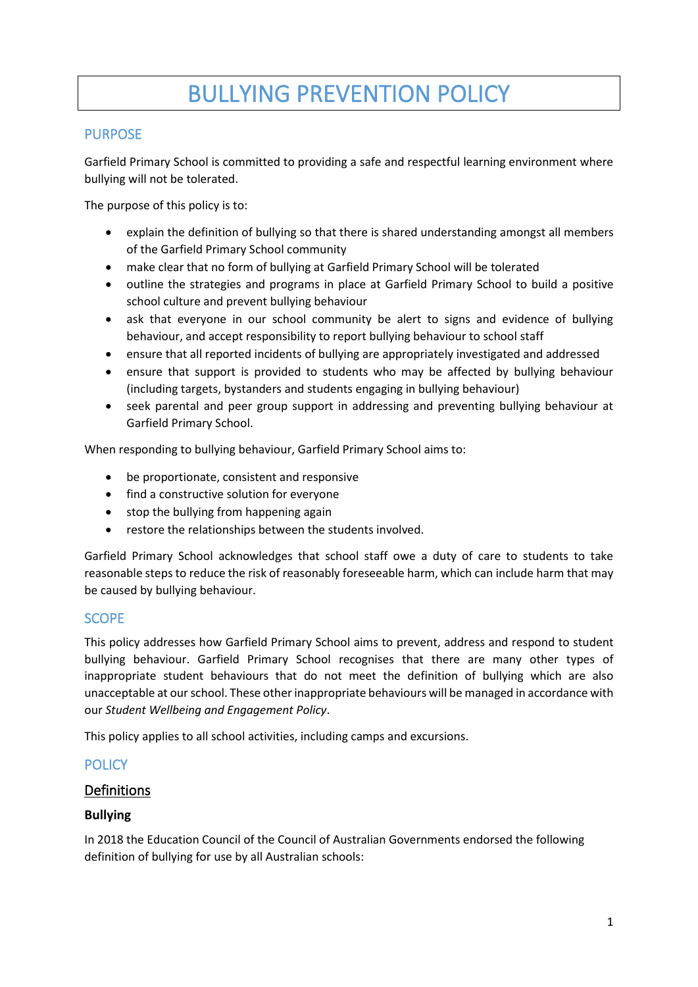# BULLYING PREVENTION POLICY

### PURPOSE

Garfield Primary School is committed to providing a safe and respectful learning environment where bullying will not be tolerated.

The purpose of this policy is to:

- explain the definition of bullying so that there is shared understanding amongst all members of the Garfield Primary School community
- make clear that no form of bullying at Garfield Primary School will be tolerated
- outline the strategies and programs in place at Garfield Primary School to build a positive school culture and prevent bullying behaviour
- ask that everyone in our school community be alert to signs and evidence of bullying behaviour, and accept responsibility to report bullying behaviour to school staff
- ensure that all reported incidents of bullying are appropriately investigated and addressed
- ensure that support is provided to students who may be affected by bullying behaviour (including targets, bystanders and students engaging in bullying behaviour)
- seek parental and peer group support in addressing and preventing bullying behaviour at Garfield Primary School.

When responding to bullying behaviour, Garfield Primary School aims to:

- be proportionate, consistent and responsive
- find a constructive solution for everyone
- stop the bullying from happening again
- restore the relationships between the students involved.

Garfield Primary School acknowledges that school staff owe a duty of care to students to take reasonable steps to reduce the risk of reasonably foreseeable harm, which can include harm that may be caused by bullying behaviour.

#### SCOPE

This policy addresses how Garfield Primary School aims to prevent, address and respond to student bullying behaviour. Garfield Primary School recognises that there are many other types of inappropriate student behaviours that do not meet the definition of bullying which are also unacceptable at our school. These other inappropriate behaviours will be managed in accordance with our *Student Wellbeing and Engagement Policy*.

This policy applies to all school activities, including camps and excursions.

# **POLICY**

#### Definitions

#### **Bullying**

In 2018 the Education Council of the Council of Australian Governments endorsed the following definition of bullying for use by all Australian schools: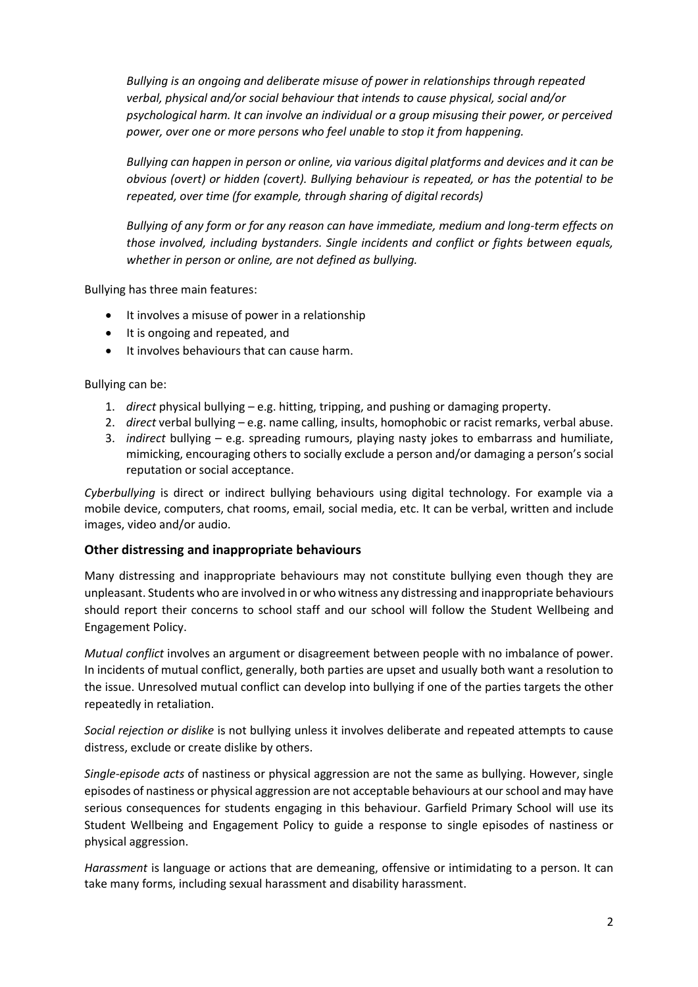*Bullying is an ongoing and deliberate misuse of power in relationships through repeated verbal, physical and/or social behaviour that intends to cause physical, social and/or psychological harm. It can involve an individual or a group misusing their power, or perceived power, over one or more persons who feel unable to stop it from happening.*

*Bullying can happen in person or online, via various digital platforms and devices and it can be obvious (overt) or hidden (covert). Bullying behaviour is repeated, or has the potential to be repeated, over time (for example, through sharing of digital records)*

*Bullying of any form or for any reason can have immediate, medium and long-term effects on those involved, including bystanders. Single incidents and conflict or fights between equals, whether in person or online, are not defined as bullying.*

Bullying has three main features:

- It involves a misuse of power in a relationship
- It is ongoing and repeated, and
- It involves behaviours that can cause harm.

Bullying can be:

- 1. *direct* physical bullying e.g. hitting, tripping, and pushing or damaging property.
- 2. *direct* verbal bullying e.g. name calling, insults, homophobic or racist remarks, verbal abuse.
- 3. *indirect* bullying e.g. spreading rumours, playing nasty jokes to embarrass and humiliate, mimicking, encouraging others to socially exclude a person and/or damaging a person's social reputation or social acceptance.

*Cyberbullying* is direct or indirect bullying behaviours using digital technology. For example via a mobile device, computers, chat rooms, email, social media, etc. It can be verbal, written and include images, video and/or audio.

#### **Other distressing and inappropriate behaviours**

Many distressing and inappropriate behaviours may not constitute bullying even though they are unpleasant. Students who are involved in or who witness any distressing and inappropriate behaviours should report their concerns to school staff and our school will follow the Student Wellbeing and Engagement Policy.

*Mutual conflict* involves an argument or disagreement between people with no imbalance of power. In incidents of mutual conflict, generally, both parties are upset and usually both want a resolution to the issue. Unresolved mutual conflict can develop into bullying if one of the parties targets the other repeatedly in retaliation.

*Social rejection or dislike* is not bullying unless it involves deliberate and repeated attempts to cause distress, exclude or create dislike by others.

*Single-episode acts* of nastiness or physical aggression are not the same as bullying. However, single episodes of nastiness or physical aggression are not acceptable behaviours at our school and may have serious consequences for students engaging in this behaviour. Garfield Primary School will use its Student Wellbeing and Engagement Policy to guide a response to single episodes of nastiness or physical aggression.

*Harassment* is language or actions that are demeaning, offensive or intimidating to a person. It can take many forms, including sexual harassment and disability harassment.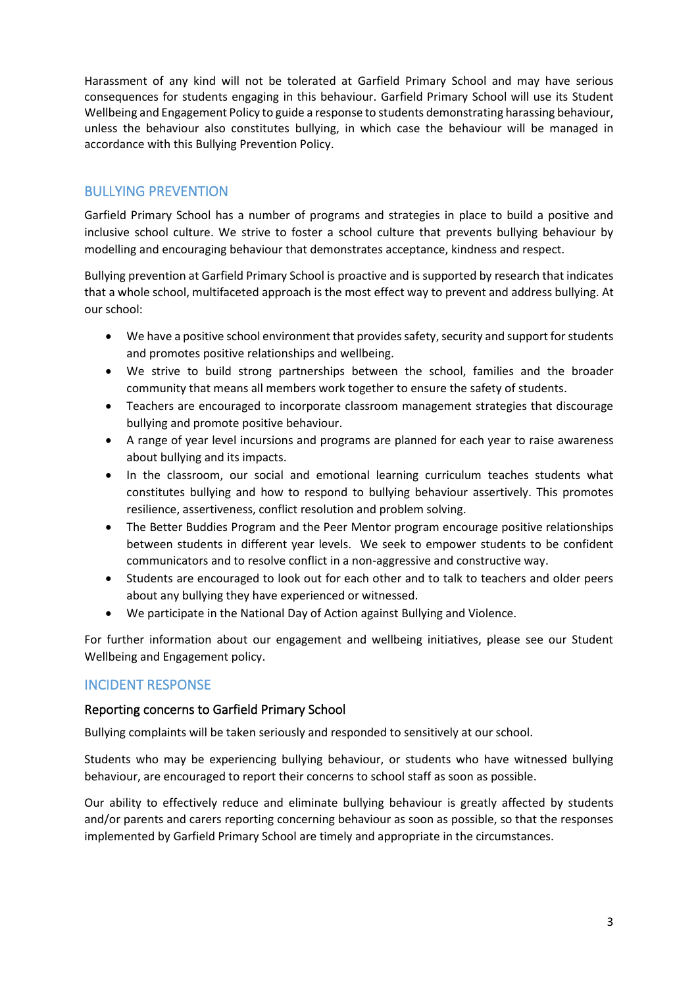Harassment of any kind will not be tolerated at Garfield Primary School and may have serious consequences for students engaging in this behaviour. Garfield Primary School will use its Student Wellbeing and Engagement Policy to guide a response to students demonstrating harassing behaviour, unless the behaviour also constitutes bullying, in which case the behaviour will be managed in accordance with this Bullying Prevention Policy.

# BULLYING PREVENTION

Garfield Primary School has a number of programs and strategies in place to build a positive and inclusive school culture. We strive to foster a school culture that prevents bullying behaviour by modelling and encouraging behaviour that demonstrates acceptance, kindness and respect.

Bullying prevention at Garfield Primary School is proactive and is supported by research that indicates that a whole school, multifaceted approach is the most effect way to prevent and address bullying. At our school:

- We have a positive school environment that provides safety, security and support for students and promotes positive relationships and wellbeing.
- We strive to build strong partnerships between the school, families and the broader community that means all members work together to ensure the safety of students.
- Teachers are encouraged to incorporate classroom management strategies that discourage bullying and promote positive behaviour.
- A range of year level incursions and programs are planned for each year to raise awareness about bullying and its impacts.
- In the classroom, our social and emotional learning curriculum teaches students what constitutes bullying and how to respond to bullying behaviour assertively. This promotes resilience, assertiveness, conflict resolution and problem solving.
- The Better Buddies Program and the Peer Mentor program encourage positive relationships between students in different year levels. We seek to empower students to be confident communicators and to resolve conflict in a non-aggressive and constructive way.
- Students are encouraged to look out for each other and to talk to teachers and older peers about any bullying they have experienced or witnessed.
- We participate in the National Day of Action against Bullying and Violence.

For further information about our engagement and wellbeing initiatives, please see our Student Wellbeing and Engagement policy.

# INCIDENT RESPONSE

#### Reporting concerns to Garfield Primary School

Bullying complaints will be taken seriously and responded to sensitively at our school.

Students who may be experiencing bullying behaviour, or students who have witnessed bullying behaviour, are encouraged to report their concerns to school staff as soon as possible.

Our ability to effectively reduce and eliminate bullying behaviour is greatly affected by students and/or parents and carers reporting concerning behaviour as soon as possible, so that the responses implemented by Garfield Primary School are timely and appropriate in the circumstances.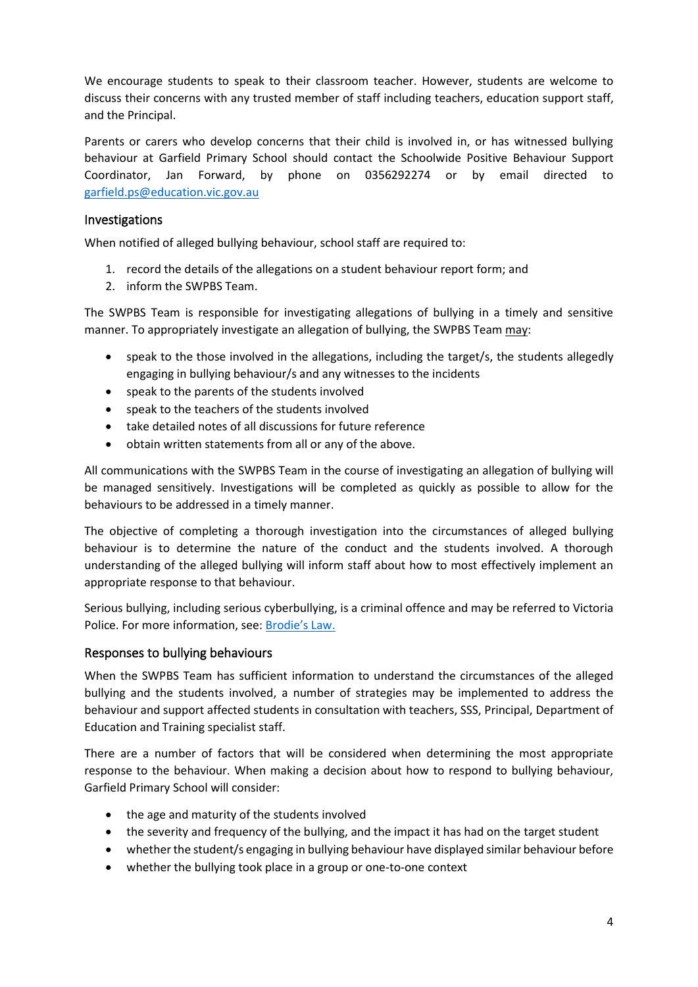We encourage students to speak to their classroom teacher. However, students are welcome to discuss their concerns with any trusted member of staff including teachers, education support staff, and the Principal.

Parents or carers who develop concerns that their child is involved in, or has witnessed bullying behaviour at Garfield Primary School should contact the Schoolwide Positive Behaviour Support Coordinator, Jan Forward, by phone on 0356292274 or by email directed to [garfield.ps@education.vic.gov.au](mailto:garfield.ps@education.vic.gov.au)

#### Investigations

When notified of alleged bullying behaviour, school staff are required to:

- 1. record the details of the allegations on a student behaviour report form; and
- 2. inform the SWPBS Team.

The SWPBS Team is responsible for investigating allegations of bullying in a timely and sensitive manner. To appropriately investigate an allegation of bullying, the SWPBS Team may:

- speak to the those involved in the allegations, including the target/s, the students allegedly engaging in bullying behaviour/s and any witnesses to the incidents
- speak to the parents of the students involved
- speak to the teachers of the students involved
- take detailed notes of all discussions for future reference
- obtain written statements from all or any of the above.

All communications with the SWPBS Team in the course of investigating an allegation of bullying will be managed sensitively. Investigations will be completed as quickly as possible to allow for the behaviours to be addressed in a timely manner.

The objective of completing a thorough investigation into the circumstances of alleged bullying behaviour is to determine the nature of the conduct and the students involved. A thorough understanding of the alleged bullying will inform staff about how to most effectively implement an appropriate response to that behaviour.

Serious bullying, including serious cyberbullying, is a criminal offence and may be referred to Victoria Police. For more information, see: [Brodie's Law.](http://www.education.vic.gov.au/about/programs/bullystoppers/Pages/advicesheetbrodieslaw.aspx)

#### Responses to bullying behaviours

When the SWPBS Team has sufficient information to understand the circumstances of the alleged bullying and the students involved, a number of strategies may be implemented to address the behaviour and support affected students in consultation with teachers, SSS, Principal, Department of Education and Training specialist staff.

There are a number of factors that will be considered when determining the most appropriate response to the behaviour. When making a decision about how to respond to bullying behaviour, Garfield Primary School will consider:

- the age and maturity of the students involved
- the severity and frequency of the bullying, and the impact it has had on the target student
- whether the student/s engaging in bullying behaviour have displayed similar behaviour before
- whether the bullying took place in a group or one-to-one context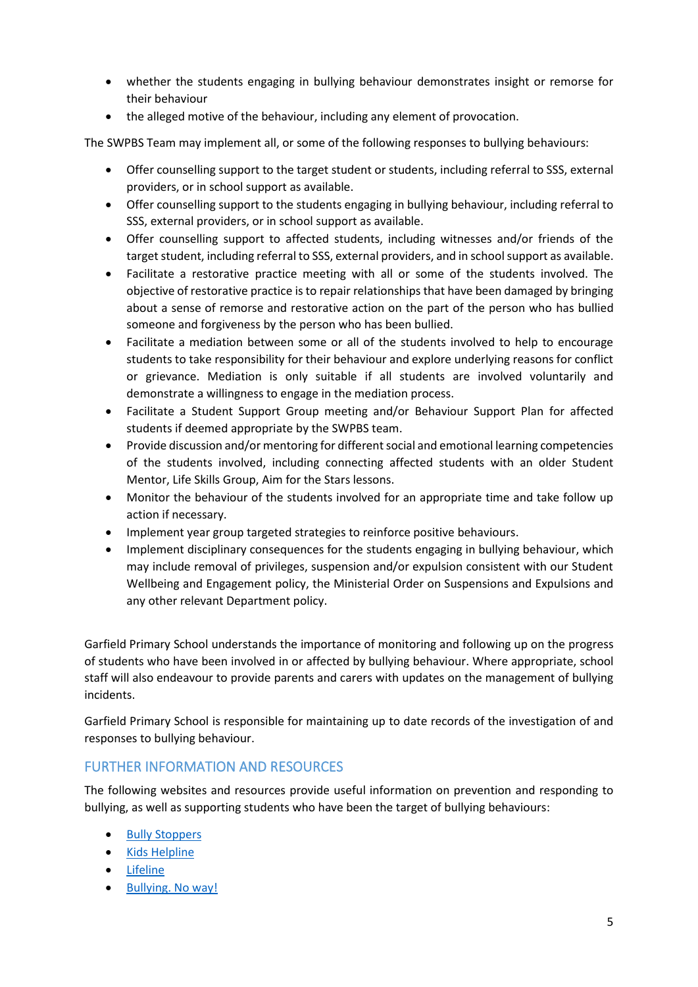- whether the students engaging in bullying behaviour demonstrates insight or remorse for their behaviour
- the alleged motive of the behaviour, including any element of provocation.

The SWPBS Team may implement all, or some of the following responses to bullying behaviours:

- Offer counselling support to the target student or students, including referral to SSS, external providers, or in school support as available.
- Offer counselling support to the students engaging in bullying behaviour, including referral to SSS, external providers, or in school support as available.
- Offer counselling support to affected students, including witnesses and/or friends of the target student, including referral to SSS, external providers, and in school support as available.
- Facilitate a restorative practice meeting with all or some of the students involved. The objective of restorative practice is to repair relationships that have been damaged by bringing about a sense of remorse and restorative action on the part of the person who has bullied someone and forgiveness by the person who has been bullied.
- Facilitate a mediation between some or all of the students involved to help to encourage students to take responsibility for their behaviour and explore underlying reasons for conflict or grievance. Mediation is only suitable if all students are involved voluntarily and demonstrate a willingness to engage in the mediation process.
- Facilitate a Student Support Group meeting and/or Behaviour Support Plan for affected students if deemed appropriate by the SWPBS team.
- Provide discussion and/or mentoring for different social and emotional learning competencies of the students involved, including connecting affected students with an older Student Mentor, Life Skills Group, Aim for the Stars lessons.
- Monitor the behaviour of the students involved for an appropriate time and take follow up action if necessary.
- Implement year group targeted strategies to reinforce positive behaviours.
- Implement disciplinary consequences for the students engaging in bullying behaviour, which may include removal of privileges, suspension and/or expulsion consistent with our Student Wellbeing and Engagement policy, the Ministerial Order on Suspensions and Expulsions and any other relevant Department policy.

Garfield Primary School understands the importance of monitoring and following up on the progress of students who have been involved in or affected by bullying behaviour. Where appropriate, school staff will also endeavour to provide parents and carers with updates on the management of bullying incidents.

Garfield Primary School is responsible for maintaining up to date records of the investigation of and responses to bullying behaviour.

# FURTHER INFORMATION AND RESOURCES

The following websites and resources provide useful information on prevention and responding to bullying, as well as supporting students who have been the target of bullying behaviours:

- **[Bully Stoppers](https://bullyingnoway.gov.au/PreventingBullying/Planning/Pages/School-policy.aspx)**
- Kids [Helpline](https://kidshelpline.com.au/)
- [Lifeline](https://www.lifeline.org.au/)
- [Bullying. No way!](https://bullyingnoway.gov.au/PreventingBullying/Planning/Pages/School-policy.aspx)